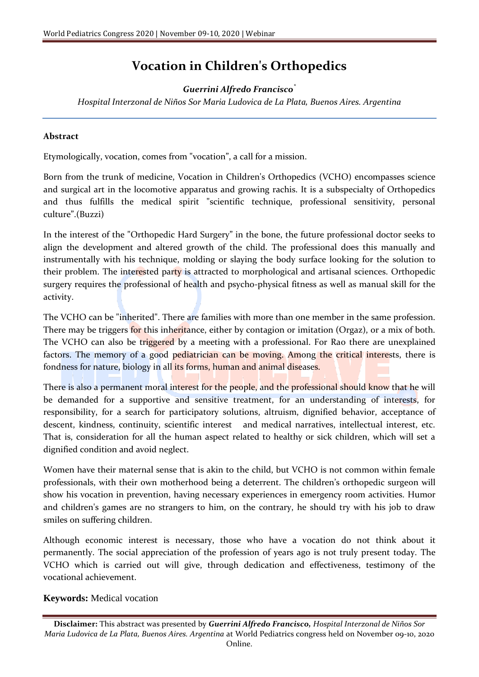## **Vocation in Children's Orthopedics**

## *Guerrini Alfredo Francisco\**

*Hospital Interzonal de Niños Sor Maria Ludovica de La Plata, Buenos Aires. Argentina*

## **Abstract**

Etymologically, vocation, comes from "vocation", a call for a mission.

Born from the trunk of medicine, Vocation in Children's Orthopedics (VCHO) encompasses science and surgical art in the locomotive apparatus and growing rachis. It is a subspecialty of Orthopedics and thus fulfills the medical spirit "scientific technique, professional sensitivity, personal culture".(Buzzi)

In the interest of the "Orthopedic Hard Surgery" in the bone, the future professional doctor seeks to align the development and altered growth of the child. The professional does this manually and instrumentally with his technique, molding or slaying the body surface looking for the solution to their problem. The interested party is attracted to morphological and artisanal sciences. Orthopedic surgery requires the professional of health and psycho-physical fitness as well as manual skill for the activity.

The VCHO can be "inherited". There are families with more than one member in the same profession. There may be triggers for this inheritance, either by contagion or imitation (Orgaz), or a mix of both. The VCHO can also be triggered by a meeting with a professional. For Rao there are unexplained factors. The memory of a good pediatrician can be moving. Among the critical interests, there is fondness for nature, biology in all its forms, human and animal diseases.

There is also a permanent moral interest for the people, and the professional should know that he will be demanded for a supportive and sensitive treatment, for an understanding of interests, for responsibility, for a search for participatory solutions, altruism, dignified behavior, acceptance of descent, kindness, continuity, scientific interest and medical narratives, intellectual interest, etc. That is, consideration for all the human aspect related to healthy or sick children, which will set a dignified condition and avoid neglect.

Women have their maternal sense that is akin to the child, but VCHO is not common within female professionals, with their own motherhood being a deterrent. The children's orthopedic surgeon will show his vocation in prevention, having necessary experiences in emergency room activities. Humor and children's games are no strangers to him, on the contrary, he should try with his job to draw smiles on suffering children.

Although economic interest is necessary, those who have a vocation do not think about it permanently. The social appreciation of the profession of years ago is not truly present today. The VCHO which is carried out will give, through dedication and effectiveness, testimony of the vocational achievement.

## **Keywords:** Medical vocation

**Disclaimer:** This abstract was presented by *Guerrini Alfredo Francisco, Hospital Interzonal de Niños Sor Maria Ludovica de La Plata, Buenos Aires. Argentina* at World Pediatrics congress held on November 09-10, 2020 Online.